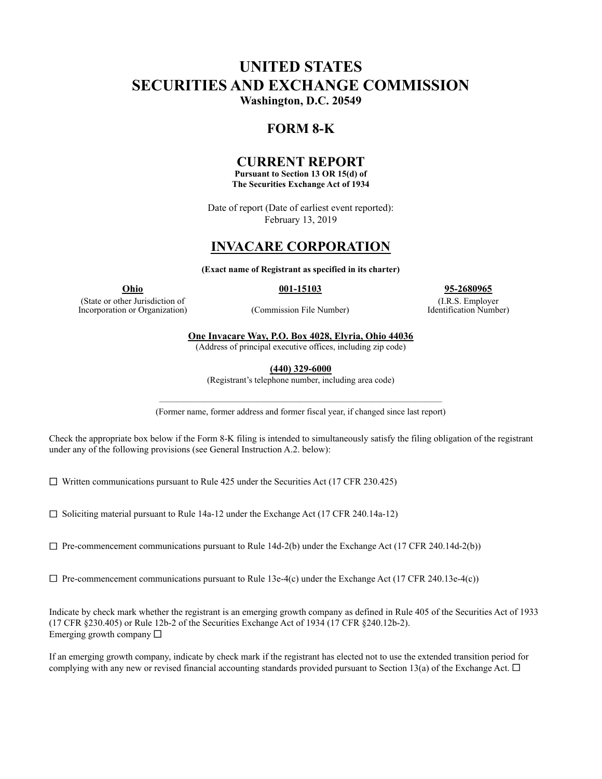# **UNITED STATES SECURITIES AND EXCHANGE COMMISSION Washington, D.C. 20549**

## **FORM 8-K**

### **CURRENT REPORT**

**Pursuant to Section 13 OR 15(d) of The Securities Exchange Act of 1934**

Date of report (Date of earliest event reported): February 13, 2019

# **INVACARE CORPORATION**

**(Exact name of Registrant as specified in its charter)**

(State or other Jurisdiction of Incorporation or Organization) (Commission File Number)

**Ohio 001-15103 95-2680965**

(I.R.S. Employer Identification Number)

**One Invacare Way, P.O. Box 4028, Elyria, Ohio 44036**

(Address of principal executive offices, including zip code)

**(440) 329-6000**

(Registrant's telephone number, including area code)

———————————————————————————————— (Former name, former address and former fiscal year, if changed since last report)

Check the appropriate box below if the Form 8-K filing is intended to simultaneously satisfy the filing obligation of the registrant under any of the following provisions (see General Instruction A.2. below):

 $\Box$  Written communications pursuant to Rule 425 under the Securities Act (17 CFR 230.425)

 $\Box$  Soliciting material pursuant to Rule 14a-12 under the Exchange Act (17 CFR 240.14a-12)

 $\Box$  Pre-commencement communications pursuant to Rule 14d-2(b) under the Exchange Act (17 CFR 240.14d-2(b))

 $\Box$  Pre-commencement communications pursuant to Rule 13e-4(c) under the Exchange Act (17 CFR 240.13e-4(c))

Indicate by check mark whether the registrant is an emerging growth company as defined in Rule 405 of the Securities Act of 1933 (17 CFR §230.405) or Rule 12b-2 of the Securities Exchange Act of 1934 (17 CFR §240.12b-2). Emerging growth company  $\Box$ 

If an emerging growth company, indicate by check mark if the registrant has elected not to use the extended transition period for complying with any new or revised financial accounting standards provided pursuant to Section 13(a) of the Exchange Act.  $\Box$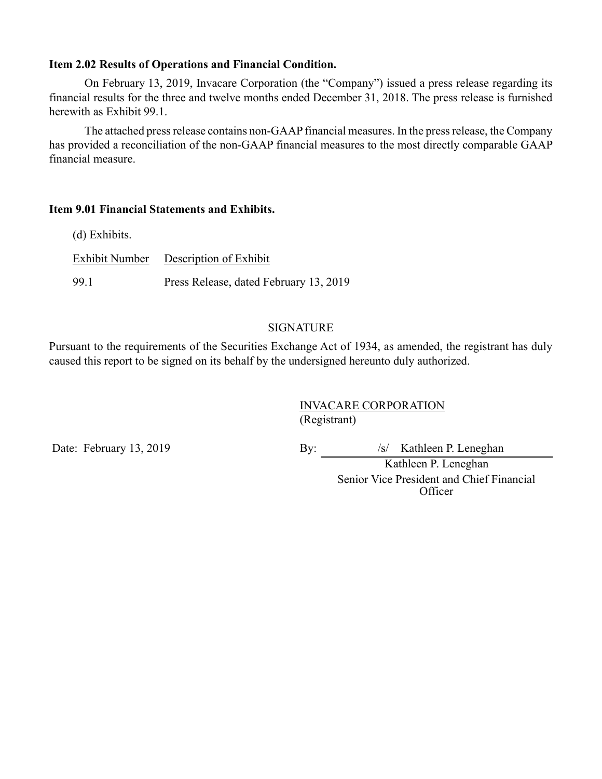#### **Item 2.02 Results of Operations and Financial Condition.**

On February 13, 2019, Invacare Corporation (the "Company") issued a press release regarding its financial results for the three and twelve months ended December 31, 2018. The press release is furnished herewith as Exhibit 99.1.

The attached press release contains non-GAAP financial measures. In the press release, the Company has provided a reconciliation of the non-GAAP financial measures to the most directly comparable GAAP financial measure.

#### **Item 9.01 Financial Statements and Exhibits.**

(d) Exhibits.

Exhibit Number Description of Exhibit 99.1 Press Release, dated February 13, 2019

### SIGNATURE

Pursuant to the requirements of the Securities Exchange Act of 1934, as amended, the registrant has duly caused this report to be signed on its behalf by the undersigned hereunto duly authorized.

> INVACARE CORPORATION (Registrant)

Date: February 13, 2019 By: *By:* /s/ Kathleen P. Leneghan Kathleen P. Leneghan Senior Vice President and Chief Financial **Officer**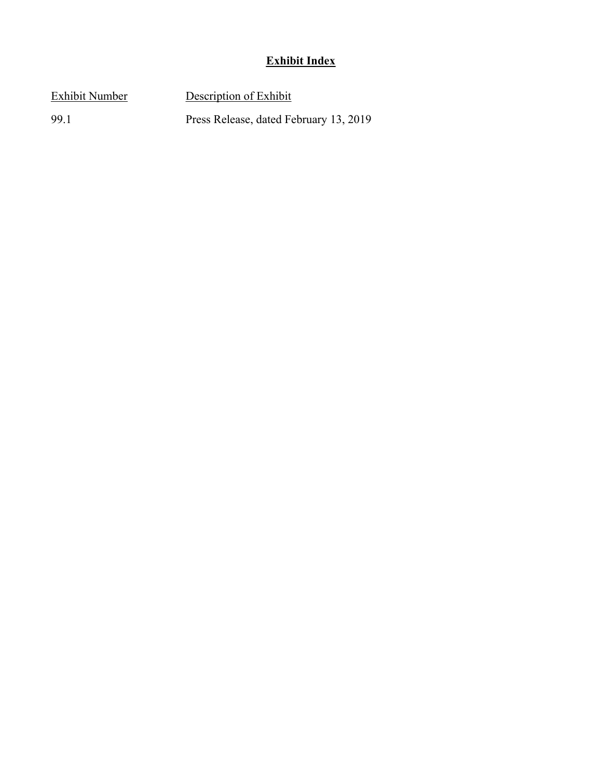# **Exhibit Index**

Exhibit Number Description of Exhibit

99.1 Press Release, dated February 13, 2019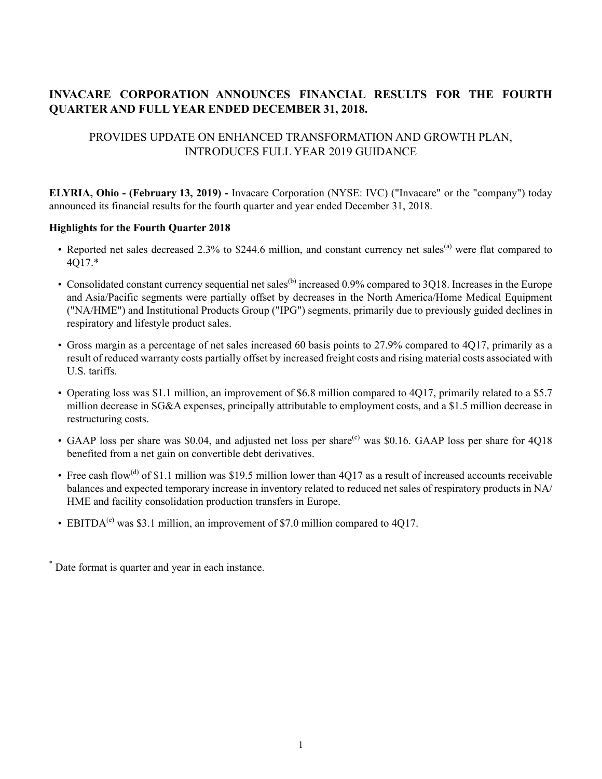# **INVACARE CORPORATION ANNOUNCES FINANCIAL RESULTS FOR THE FOURTH QUARTER AND FULL YEAR ENDED DECEMBER 31, 2018.**

# PROVIDES UPDATE ON ENHANCED TRANSFORMATION AND GROWTH PLAN, INTRODUCES FULL YEAR 2019 GUIDANCE

**ELYRIA, Ohio - (February 13, 2019) -** Invacare Corporation (NYSE: IVC) ("Invacare" or the "company") today announced its financial results for the fourth quarter and year ended December 31, 2018.

#### **Highlights for the Fourth Quarter 2018**

- Reported net sales decreased 2.3% to \$244.6 million, and constant currency net sales<sup>(a)</sup> were flat compared to 4Q17.\*
- Consolidated constant currency sequential net sales<sup>(b)</sup> increased 0.9% compared to 3Q18. Increases in the Europe and Asia/Pacific segments were partially offset by decreases in the North America/Home Medical Equipment ("NA/HME") and Institutional Products Group ("IPG") segments, primarily due to previously guided declines in respiratory and lifestyle product sales.
- Gross margin as a percentage of net sales increased 60 basis points to 27.9% compared to 4Q17, primarily as a result of reduced warranty costs partially offset by increased freight costs and rising material costs associated with U.S. tariffs.
- Operating loss was \$1.1 million, an improvement of \$6.8 million compared to 4Q17, primarily related to a \$5.7 million decrease in SG&A expenses, principally attributable to employment costs, and a \$1.5 million decrease in restructuring costs.
- GAAP loss per share was \$0.04, and adjusted net loss per share<sup>(c)</sup> was \$0.16. GAAP loss per share for 4Q18 benefited from a net gain on convertible debt derivatives.
- Free cash flow<sup>(d)</sup> of \$1.1 million was \$19.5 million lower than 4Q17 as a result of increased accounts receivable balances and expected temporary increase in inventory related to reduced net sales of respiratory products in NA/ HME and facility consolidation production transfers in Europe.
- EBITDA<sup>(e)</sup> was \$3.1 million, an improvement of \$7.0 million compared to 4Q17.

\* Date format is quarter and year in each instance.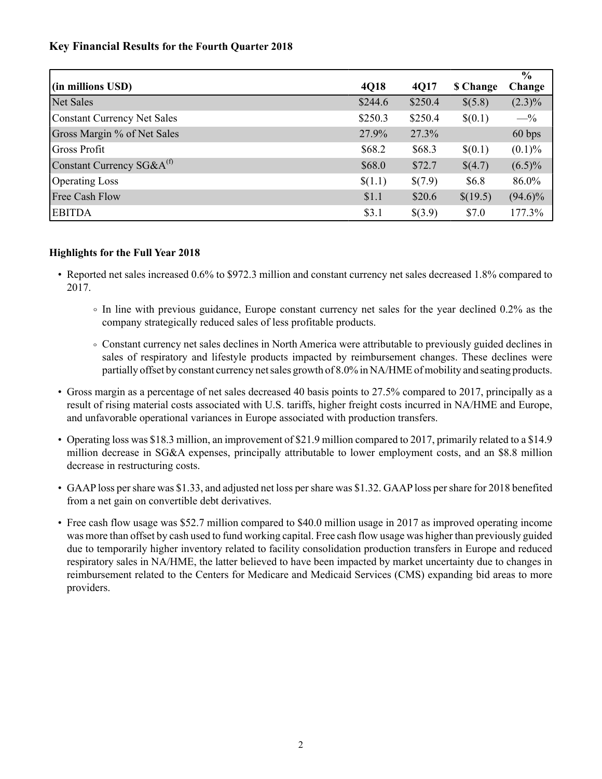### **Key Financial Results for the Fourth Quarter 2018**

|                                       |         |         |                 | $\frac{0}{0}$ |
|---------------------------------------|---------|---------|-----------------|---------------|
| (in millions USD)                     | 4Q18    | 4Q17    | <b>S</b> Change | Change        |
| Net Sales                             | \$244.6 | \$250.4 | \$(5.8)         | $(2.3)\%$     |
| <b>Constant Currency Net Sales</b>    | \$250.3 | \$250.4 | \$(0.1)         | $-$ %         |
| Gross Margin % of Net Sales           | 27.9%   | 27.3%   |                 | 60 bps        |
| Gross Profit                          | \$68.2  | \$68.3  | \$(0.1)         | $(0.1)\%$     |
| Constant Currency SG&A <sup>(f)</sup> | \$68.0  | \$72.7  | \$(4.7)         | $(6.5)\%$     |
| <b>Operating Loss</b>                 | \$(1.1) | \$(7.9) | \$6.8           | 86.0%         |
| Free Cash Flow                        | \$1.1   | \$20.6  | \$(19.5)        | $(94.6)\%$    |
| <b>EBITDA</b>                         | \$3.1   | \$(3.9) | \$7.0           | 177.3%        |

#### **Highlights for the Full Year 2018**

- Reported net sales increased 0.6% to \$972.3 million and constant currency net sales decreased 1.8% compared to 2017.
	- In line with previous guidance, Europe constant currency net sales for the year declined 0.2% as the company strategically reduced sales of less profitable products.
	- Constant currency net sales declines in North America were attributable to previously guided declines in sales of respiratory and lifestyle products impacted by reimbursement changes. These declines were partially offset by constant currency net sales growth of 8.0% in NA/HME of mobility and seating products.
- Gross margin as a percentage of net sales decreased 40 basis points to 27.5% compared to 2017, principally as a result of rising material costs associated with U.S. tariffs, higher freight costs incurred in NA/HME and Europe, and unfavorable operational variances in Europe associated with production transfers.
- Operating loss was \$18.3 million, an improvement of \$21.9 million compared to 2017, primarily related to a \$14.9 million decrease in SG&A expenses, principally attributable to lower employment costs, and an \$8.8 million decrease in restructuring costs.
- GAAP loss per share was \$1.33, and adjusted net loss per share was \$1.32. GAAP loss per share for 2018 benefited from a net gain on convertible debt derivatives.
- Free cash flow usage was \$52.7 million compared to \$40.0 million usage in 2017 as improved operating income was more than offset by cash used to fund working capital. Free cash flow usage was higher than previously guided due to temporarily higher inventory related to facility consolidation production transfers in Europe and reduced respiratory sales in NA/HME, the latter believed to have been impacted by market uncertainty due to changes in reimbursement related to the Centers for Medicare and Medicaid Services (CMS) expanding bid areas to more providers.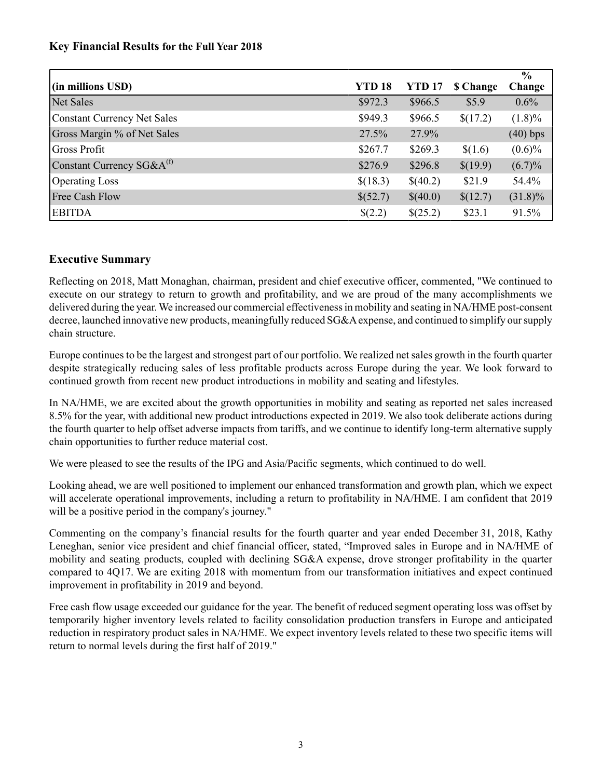### **Key Financial Results for the Full Year 2018**

| (in millions USD)                     | <b>YTD 18</b> | <b>YTD</b> 17 | <b>\$</b> Change | $\frac{0}{0}$<br>Change |
|---------------------------------------|---------------|---------------|------------------|-------------------------|
|                                       |               |               |                  |                         |
| Net Sales                             | \$972.3       | \$966.5       | \$5.9            | $0.6\%$                 |
| <b>Constant Currency Net Sales</b>    | \$949.3       | \$966.5       | \$(17.2)         | $(1.8)\%$               |
| Gross Margin % of Net Sales           | 27.5%         | 27.9%         |                  | $(40)$ bps              |
| Gross Profit                          | \$267.7       | \$269.3       | \$(1.6)          | $(0.6)\%$               |
| Constant Currency SG&A <sup>(f)</sup> | \$276.9       | \$296.8       | \$(19.9)         | $(6.7)\%$               |
| <b>Operating Loss</b>                 | \$(18.3)      | \$(40.2)      | \$21.9           | 54.4%                   |
| Free Cash Flow                        | \$(52.7)      | \$(40.0)      | \$(12.7)         | $(31.8)\%$              |
| <b>EBITDA</b>                         | \$(2.2)       | \$(25.2)      | \$23.1           | 91.5%                   |

### **Executive Summary**

Reflecting on 2018, Matt Monaghan, chairman, president and chief executive officer, commented, "We continued to execute on our strategy to return to growth and profitability, and we are proud of the many accomplishments we delivered during the year. We increased our commercial effectiveness in mobility and seating in NA/HME post-consent decree, launched innovative new products, meaningfully reduced SG&Aexpense, and continued to simplify our supply chain structure.

Europe continues to be the largest and strongest part of our portfolio. We realized net sales growth in the fourth quarter despite strategically reducing sales of less profitable products across Europe during the year. We look forward to continued growth from recent new product introductions in mobility and seating and lifestyles.

In NA/HME, we are excited about the growth opportunities in mobility and seating as reported net sales increased 8.5% for the year, with additional new product introductions expected in 2019. We also took deliberate actions during the fourth quarter to help offset adverse impacts from tariffs, and we continue to identify long-term alternative supply chain opportunities to further reduce material cost.

We were pleased to see the results of the IPG and Asia/Pacific segments, which continued to do well.

Looking ahead, we are well positioned to implement our enhanced transformation and growth plan, which we expect will accelerate operational improvements, including a return to profitability in NA/HME. I am confident that 2019 will be a positive period in the company's journey."

Commenting on the company's financial results for the fourth quarter and year ended December 31, 2018, Kathy Leneghan, senior vice president and chief financial officer, stated, "Improved sales in Europe and in NA/HME of mobility and seating products, coupled with declining SG&A expense, drove stronger profitability in the quarter compared to 4Q17. We are exiting 2018 with momentum from our transformation initiatives and expect continued improvement in profitability in 2019 and beyond.

Free cash flow usage exceeded our guidance for the year. The benefit of reduced segment operating loss was offset by temporarily higher inventory levels related to facility consolidation production transfers in Europe and anticipated reduction in respiratory product sales in NA/HME. We expect inventory levels related to these two specific items will return to normal levels during the first half of 2019."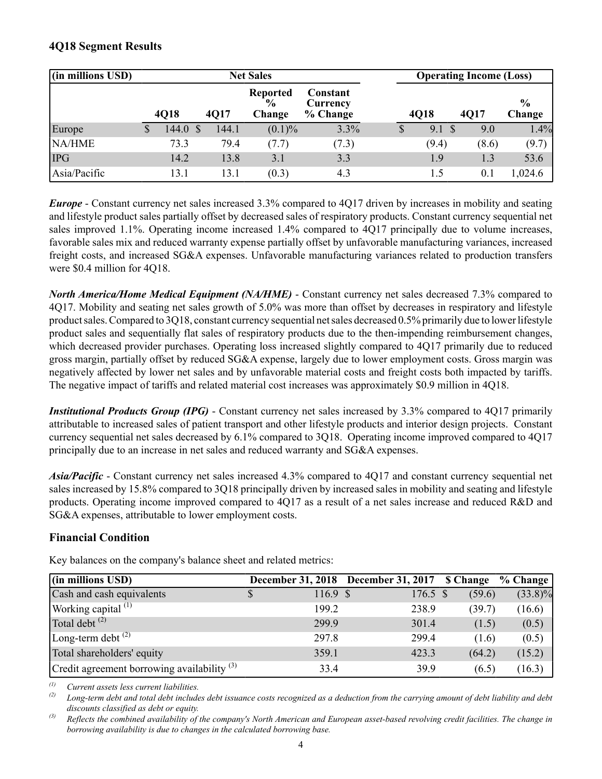### **4Q18 Segment Results**

| (in millions USD) |   |       |   |       | <b>Net Sales</b>                           | <b>Operating Income (Loss)</b>   |  |       |     |       |                         |  |  |
|-------------------|---|-------|---|-------|--------------------------------------------|----------------------------------|--|-------|-----|-------|-------------------------|--|--|
|                   |   | 4Q18  |   | 4Q17  | <b>Reported</b><br>$\frac{6}{9}$<br>Change | Constant<br>Currency<br>% Change |  | 4Q18  |     | 4Q17  | $\frac{0}{0}$<br>Change |  |  |
| Europe            | S | 144.0 | S | 144.1 | (0.1)%                                     | 3.3%                             |  | 9.1   | - S | 9.0   | 1.4%                    |  |  |
| NA/HME            |   | 73.3  |   | 79.4  | (7.7)                                      | (7.3)                            |  | (9.4) |     | (8.6) | (9.7)                   |  |  |
| <b>IPG</b>        |   | 14.2  |   | 13.8  | 3.1                                        | 3.3                              |  | 1.9   |     | 1.3   | 53.6                    |  |  |
| Asia/Pacific      |   | 13.1  |   | 13.1  | (0.3)                                      | 4.3                              |  | 1.5   |     | 0.1   | 1,024.6                 |  |  |

*Europe* - Constant currency net sales increased 3.3% compared to 4Q17 driven by increases in mobility and seating and lifestyle product sales partially offset by decreased sales of respiratory products. Constant currency sequential net sales improved 1.1%. Operating income increased 1.4% compared to 4Q17 principally due to volume increases, favorable sales mix and reduced warranty expense partially offset by unfavorable manufacturing variances, increased freight costs, and increased SG&A expenses. Unfavorable manufacturing variances related to production transfers were \$0.4 million for 4Q18.

*North America/Home Medical Equipment (NA/HME)* - Constant currency net sales decreased 7.3% compared to 4Q17. Mobility and seating net sales growth of 5.0% was more than offset by decreases in respiratory and lifestyle product sales. Compared to 3Q18, constant currency sequential net sales decreased 0.5% primarily due to lower lifestyle product sales and sequentially flat sales of respiratory products due to the then-impending reimbursement changes, which decreased provider purchases. Operating loss increased slightly compared to 4Q17 primarily due to reduced gross margin, partially offset by reduced SG&A expense, largely due to lower employment costs. Gross margin was negatively affected by lower net sales and by unfavorable material costs and freight costs both impacted by tariffs. The negative impact of tariffs and related material cost increases was approximately \$0.9 million in 4Q18.

*Institutional Products Group (IPG)* - Constant currency net sales increased by 3.3% compared to 4Q17 primarily attributable to increased sales of patient transport and other lifestyle products and interior design projects. Constant currency sequential net sales decreased by 6.1% compared to 3Q18. Operating income improved compared to 4Q17 principally due to an increase in net sales and reduced warranty and SG&A expenses.

*Asia/Pacific* - Constant currency net sales increased 4.3% compared to 4Q17 and constant currency sequential net sales increased by 15.8% compared to 3Q18 principally driven by increased sales in mobility and seating and lifestyle products. Operating income improved compared to 4Q17 as a result of a net sales increase and reduced R&D and SG&A expenses, attributable to lower employment costs.

## **Financial Condition**

| (in millions USD)                                      |            | December 31, 2018 December 31, 2017 \$ Change |        | % Change   |
|--------------------------------------------------------|------------|-----------------------------------------------|--------|------------|
| Cash and cash equivalents                              | $116.9$ \$ | $176.5 \text{ }$                              | (59.6) | $(33.8)\%$ |
| Working capital <sup>(1)</sup>                         | 199.2      | 238.9                                         | (39.7) | (16.6)     |
| Total debt <sup>(2)</sup>                              | 299.9      | 301.4                                         | (1.5)  | (0.5)      |
| Long-term debt $^{(2)}$                                | 297.8      | 299.4                                         | (1.6)  | (0.5)      |
| Total shareholders' equity                             | 359.1      | 423.3                                         | (64.2) | (15.2)     |
| Credit agreement borrowing availability <sup>(3)</sup> | 33.4       | 39.9                                          | (6.5)  | (16.3)     |

Key balances on the company's balance sheet and related metrics:

*(1) Current assets less current liabilities.*

Long-term debt and total debt includes debt issuance costs recognized as a deduction from the carrying amount of debt liability and debt *discounts classified as debt or equity.* 

*(3) Reflects the combined availability of the company's North American and European asset-based revolving credit facilities. The change in borrowing availability is due to changes in the calculated borrowing base.*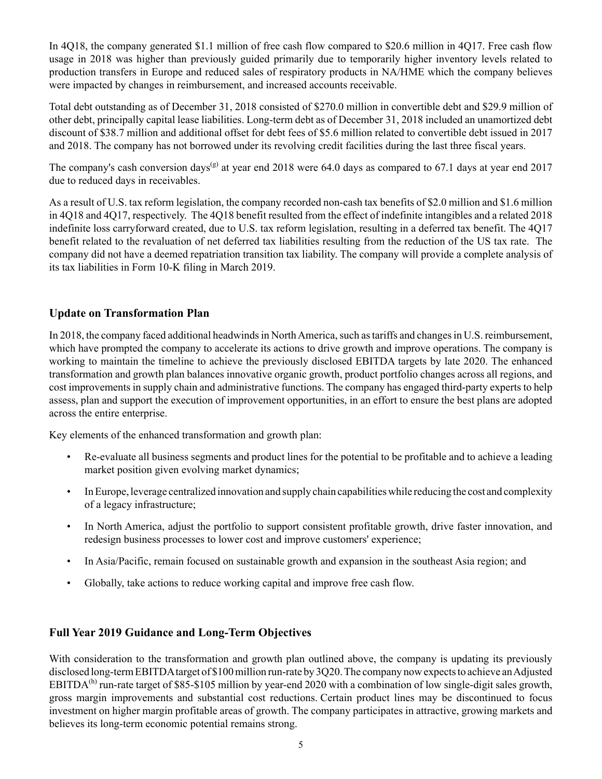In 4Q18, the company generated \$1.1 million of free cash flow compared to \$20.6 million in 4Q17. Free cash flow usage in 2018 was higher than previously guided primarily due to temporarily higher inventory levels related to production transfers in Europe and reduced sales of respiratory products in NA/HME which the company believes were impacted by changes in reimbursement, and increased accounts receivable.

Total debt outstanding as of December 31, 2018 consisted of \$270.0 million in convertible debt and \$29.9 million of other debt, principally capital lease liabilities. Long-term debt as of December 31, 2018 included an unamortized debt discount of \$38.7 million and additional offset for debt fees of \$5.6 million related to convertible debt issued in 2017 and 2018. The company has not borrowed under its revolving credit facilities during the last three fiscal years.

The company's cash conversion days<sup>(g)</sup> at year end 2018 were 64.0 days as compared to 67.1 days at year end 2017 due to reduced days in receivables.

As a result of U.S. tax reform legislation, the company recorded non-cash tax benefits of \$2.0 million and \$1.6 million in 4Q18 and 4Q17, respectively. The 4Q18 benefit resulted from the effect of indefinite intangibles and a related 2018 indefinite loss carryforward created, due to U.S. tax reform legislation, resulting in a deferred tax benefit. The 4Q17 benefit related to the revaluation of net deferred tax liabilities resulting from the reduction of the US tax rate. The company did not have a deemed repatriation transition tax liability. The company will provide a complete analysis of its tax liabilities in Form 10-K filing in March 2019.

## **Update on Transformation Plan**

In 2018, the company faced additional headwinds in North America, such as tariffs and changes in U.S. reimbursement, which have prompted the company to accelerate its actions to drive growth and improve operations. The company is working to maintain the timeline to achieve the previously disclosed EBITDA targets by late 2020. The enhanced transformation and growth plan balances innovative organic growth, product portfolio changes across all regions, and cost improvements in supply chain and administrative functions. The company has engaged third-party experts to help assess, plan and support the execution of improvement opportunities, in an effort to ensure the best plans are adopted across the entire enterprise.

Key elements of the enhanced transformation and growth plan:

- Re-evaluate all business segments and product lines for the potential to be profitable and to achieve a leading market position given evolving market dynamics;
- In Europe, leverage centralized innovation and supply chain capabilities while reducing the cost and complexity of a legacy infrastructure;
- In North America, adjust the portfolio to support consistent profitable growth, drive faster innovation, and redesign business processes to lower cost and improve customers' experience;
- In Asia/Pacific, remain focused on sustainable growth and expansion in the southeast Asia region; and
- Globally, take actions to reduce working capital and improve free cash flow.

## **Full Year 2019 Guidance and Long-Term Objectives**

With consideration to the transformation and growth plan outlined above, the company is updating its previously disclosed long-term EBITDAtarget of \$100 million run-rate by 3Q20. The company now expects to achieve an Adjusted EBITDA $^{(h)}$  run-rate target of \$85-\$105 million by year-end 2020 with a combination of low single-digit sales growth, gross margin improvements and substantial cost reductions. Certain product lines may be discontinued to focus investment on higher margin profitable areas of growth. The company participates in attractive, growing markets and believes its long-term economic potential remains strong.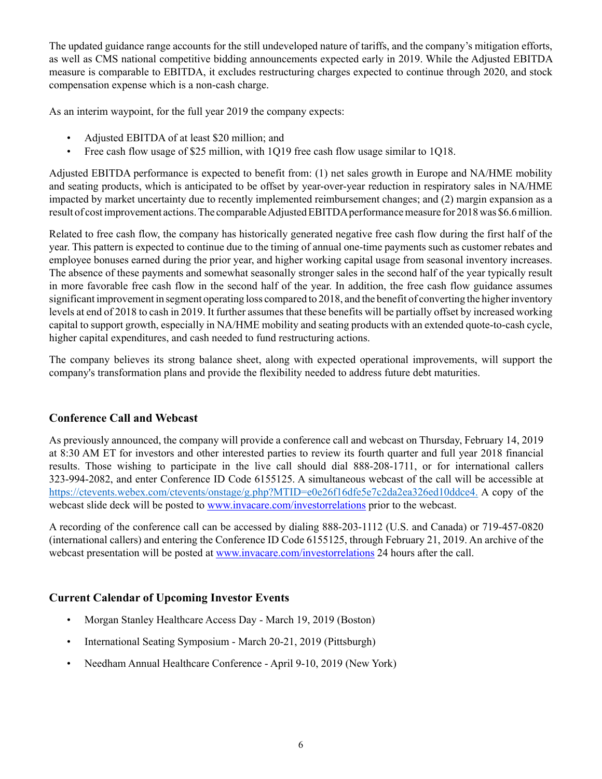The updated guidance range accounts for the still undeveloped nature of tariffs, and the company's mitigation efforts, as well as CMS national competitive bidding announcements expected early in 2019. While the Adjusted EBITDA measure is comparable to EBITDA, it excludes restructuring charges expected to continue through 2020, and stock compensation expense which is a non-cash charge.

As an interim waypoint, for the full year 2019 the company expects:

- Adjusted EBITDA of at least \$20 million; and
- Free cash flow usage of \$25 million, with 1Q19 free cash flow usage similar to 1Q18.

Adjusted EBITDA performance is expected to benefit from: (1) net sales growth in Europe and NA/HME mobility and seating products, which is anticipated to be offset by year-over-year reduction in respiratory sales in NA/HME impacted by market uncertainty due to recently implemented reimbursement changes; and (2) margin expansion as a result of cost improvement actions. The comparable Adjusted EBITDAperformance measure for 2018 was \$6.6 million.

Related to free cash flow, the company has historically generated negative free cash flow during the first half of the year. This pattern is expected to continue due to the timing of annual one-time payments such as customer rebates and employee bonuses earned during the prior year, and higher working capital usage from seasonal inventory increases. The absence of these payments and somewhat seasonally stronger sales in the second half of the year typically result in more favorable free cash flow in the second half of the year. In addition, the free cash flow guidance assumes significant improvement in segment operating loss compared to 2018, and the benefit of converting the higher inventory levels at end of 2018 to cash in 2019. It further assumes that these benefits will be partially offset by increased working capital to support growth, especially in NA/HME mobility and seating products with an extended quote-to-cash cycle, higher capital expenditures, and cash needed to fund restructuring actions.

The company believes its strong balance sheet, along with expected operational improvements, will support the company's transformation plans and provide the flexibility needed to address future debt maturities.

## **Conference Call and Webcast**

As previously announced, the company will provide a conference call and webcast on Thursday, February 14, 2019 at 8:30 AM ET for investors and other interested parties to review its fourth quarter and full year 2018 financial results. Those wishing to participate in the live call should dial 888-208-1711, or for international callers 323-994-2082, and enter Conference ID Code 6155125. A simultaneous webcast of the call will be accessible at https://ctevents.webex.com/ctevents/onstage/g.php?MTID=e0e26f16dfe5e7c2da2ea326ed10ddce4. A copy of the webcast slide deck will be posted to www.invacare.com/investorrelations prior to the webcast.

A recording of the conference call can be accessed by dialing 888-203-1112 (U.S. and Canada) or 719-457-0820 (international callers) and entering the Conference ID Code 6155125, through February 21, 2019. An archive of the webcast presentation will be posted at www.invacare.com/investorrelations 24 hours after the call.

# **Current Calendar of Upcoming Investor Events**

- Morgan Stanley Healthcare Access Day March 19, 2019 (Boston)
- International Seating Symposium March 20-21, 2019 (Pittsburgh)
- Needham Annual Healthcare Conference April 9-10, 2019 (New York)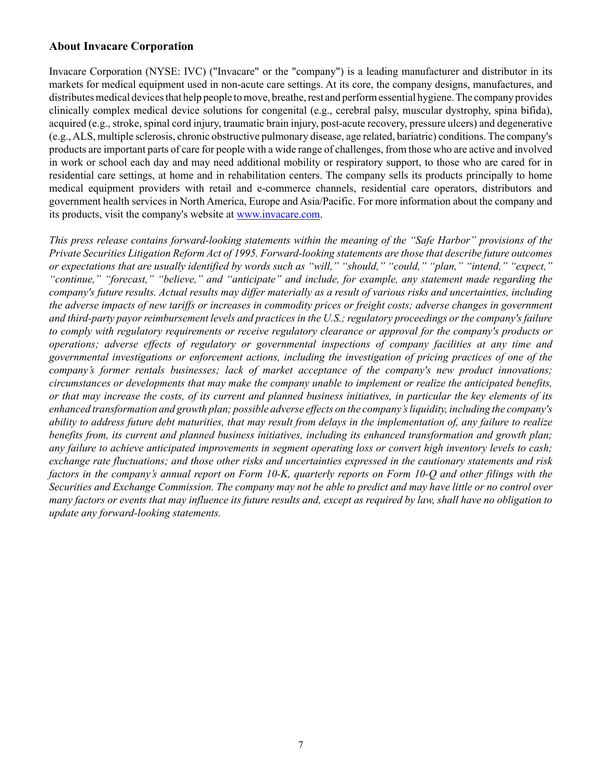### **About Invacare Corporation**

Invacare Corporation (NYSE: IVC) ("Invacare" or the "company") is a leading manufacturer and distributor in its markets for medical equipment used in non-acute care settings. At its core, the company designs, manufactures, and distributes medical devices that help people to move, breathe, rest and perform essential hygiene. The company provides clinically complex medical device solutions for congenital (e.g., cerebral palsy, muscular dystrophy, spina bifida), acquired (e.g., stroke, spinal cord injury, traumatic brain injury, post-acute recovery, pressure ulcers) and degenerative (e.g., ALS, multiple sclerosis, chronic obstructive pulmonary disease, age related, bariatric) conditions. The company's products are important parts of care for people with a wide range of challenges, from those who are active and involved in work or school each day and may need additional mobility or respiratory support, to those who are cared for in residential care settings, at home and in rehabilitation centers. The company sells its products principally to home medical equipment providers with retail and e-commerce channels, residential care operators, distributors and government health services in North America, Europe and Asia/Pacific. For more information about the company and its products, visit the company's website at www.invacare.com.

*This press release contains forward-looking statements within the meaning of the "Safe Harbor" provisions of the Private Securities Litigation Reform Act of 1995. Forward-looking statements are those that describe future outcomes or expectations that are usually identified by words such as "will," "should," "could," "plan," "intend," "expect," "continue," "forecast," "believe," and "anticipate" and include, for example, any statement made regarding the company's future results. Actual results may differ materially as a result of various risks and uncertainties, including the adverse impacts of new tariffs or increases in commodity prices or freight costs; adverse changes in government and third-party payor reimbursement levels and practices in the U.S.; regulatory proceedings or the company's failure to comply with regulatory requirements or receive regulatory clearance or approval for the company's products or operations; adverse effects of regulatory or governmental inspections of company facilities at any time and governmental investigations or enforcement actions, including the investigation of pricing practices of one of the company's former rentals businesses; lack of market acceptance of the company's new product innovations; circumstances or developments that may make the company unable to implement or realize the anticipated benefits, or that may increase the costs, of its current and planned business initiatives, in particular the key elements of its enhanced transformation and growth plan; possible adverse effects on the company's liquidity, including the company's ability to address future debt maturities, that may result from delays in the implementation of, any failure to realize*  benefits from, its current and planned business initiatives, including its enhanced transformation and growth plan; *any failure to achieve anticipated improvements in segment operating loss or convert high inventory levels to cash; exchange rate fluctuations; and those other risks and uncertainties expressed in the cautionary statements and risk factors in the company's annual report on Form 10-K, quarterly reports on Form 10-Q and other filings with the Securities and Exchange Commission. The company may not be able to predict and may have little or no control over many factors or events that may influence its future results and, except as required by law, shall have no obligation to update any forward-looking statements.*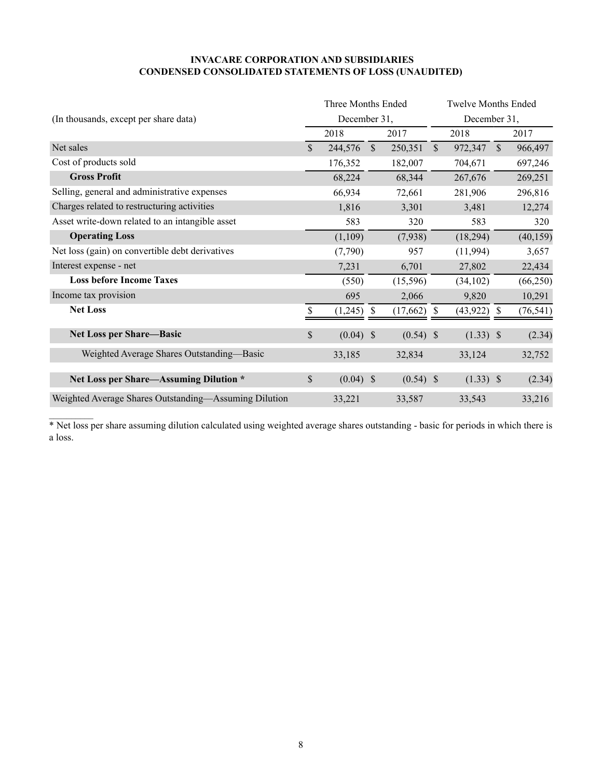#### **INVACARE CORPORATION AND SUBSIDIARIES CONDENSED CONSOLIDATED STATEMENTS OF LOSS (UNAUDITED)**

|                                                       |                           | Three Months Ended |              |             | <b>Twelve Months Ended</b> |             |              |           |  |  |
|-------------------------------------------------------|---------------------------|--------------------|--------------|-------------|----------------------------|-------------|--------------|-----------|--|--|
| (In thousands, except per share data)                 |                           | December 31,       |              |             | December 31,               |             |              |           |  |  |
|                                                       |                           | 2018               |              | 2017        |                            | 2018        |              | 2017      |  |  |
| Net sales                                             | \$                        | 244,576            | $\mathbb{S}$ | 250,351     | $\mathbb{S}$               | 972,347     | $\mathbb{S}$ | 966,497   |  |  |
| Cost of products sold                                 |                           | 176,352            |              | 182,007     |                            | 704,671     |              | 697,246   |  |  |
| <b>Gross Profit</b>                                   |                           | 68,224             |              | 68,344      |                            | 267,676     |              | 269,251   |  |  |
| Selling, general and administrative expenses          |                           | 66,934             |              | 72,661      |                            | 281,906     |              | 296,816   |  |  |
| Charges related to restructuring activities           |                           | 1,816              |              | 3,301       |                            | 3,481       |              | 12,274    |  |  |
| Asset write-down related to an intangible asset       |                           | 583                |              | 320         |                            | 583         |              | 320       |  |  |
| <b>Operating Loss</b>                                 |                           | (1,109)            |              | (7,938)     |                            | (18, 294)   |              | (40, 159) |  |  |
| Net loss (gain) on convertible debt derivatives       |                           | (7,790)            |              | 957         |                            | (11,994)    |              | 3,657     |  |  |
| Interest expense - net                                |                           | 7,231              |              | 6,701       |                            | 27,802      |              | 22,434    |  |  |
| <b>Loss before Income Taxes</b>                       |                           | (550)              |              | (15,596)    |                            | (34,102)    |              | (66,250)  |  |  |
| Income tax provision                                  |                           | 695                |              | 2,066       |                            | 9,820       |              | 10,291    |  |  |
| <b>Net Loss</b>                                       |                           | $(1,245)$ \$       |              | (17,662)    | \$                         | (43, 922)   | -S           | (76, 541) |  |  |
| Net Loss per Share-Basic                              | \$                        | $(0.04)$ \$        |              | $(0.54)$ \$ |                            | $(1.33)$ \$ |              | (2.34)    |  |  |
| Weighted Average Shares Outstanding-Basic             |                           | 33,185             |              | 32,834      |                            | 33,124      |              | 32,752    |  |  |
| Net Loss per Share-Assuming Dilution *                | $\boldsymbol{\mathsf{S}}$ | $(0.04)$ \$        |              | $(0.54)$ \$ |                            | $(1.33)$ \$ |              | (2.34)    |  |  |
| Weighted Average Shares Outstanding—Assuming Dilution |                           | 33,221             |              | 33,587      |                            | 33,543      |              | 33,216    |  |  |

\* Net loss per share assuming dilution calculated using weighted average shares outstanding - basic for periods in which there is a loss.

 $\mathcal{L}_\text{max}$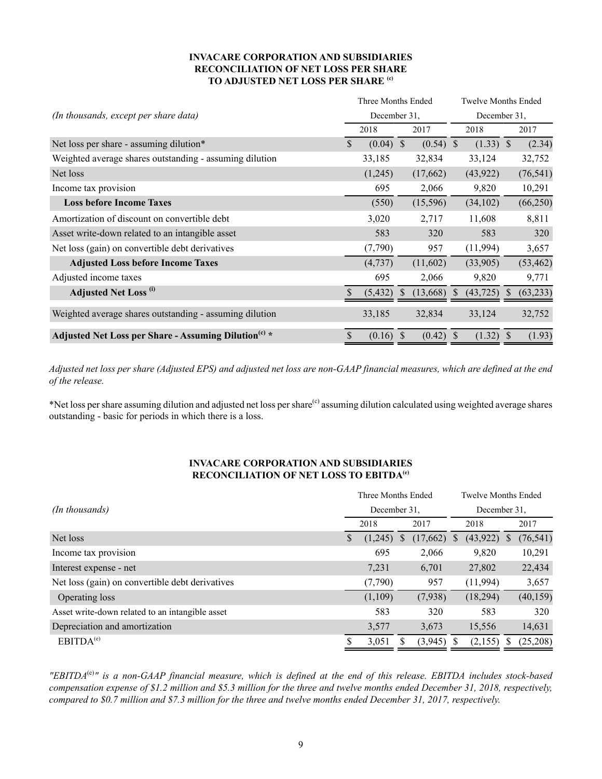#### **INVACARE CORPORATION AND SUBSIDIARIES RECONCILIATION OF NET LOSS PER SHARE TO ADJUSTED NET LOSS PER SHARE (c)**

|                                                                  |              | Three Months Ended |               |             | <b>Twelve Months Ended</b> |              |               |           |  |
|------------------------------------------------------------------|--------------|--------------------|---------------|-------------|----------------------------|--------------|---------------|-----------|--|
| (In thousands, except per share data)                            | December 31, |                    |               |             |                            | December 31. |               |           |  |
|                                                                  |              | 2018               |               | 2017        |                            | 2018         | 2017          |           |  |
| Net loss per share - assuming dilution*                          | \$           | $(0.04)$ \$        |               | $(0.54)$ \$ |                            | $(1.33)$ \$  |               | (2.34)    |  |
| Weighted average shares outstanding - assuming dilution          |              | 33,185             |               | 32,834      |                            | 33,124       |               | 32,752    |  |
| Net loss                                                         |              | (1,245)            |               | (17,662)    |                            | (43, 922)    |               | (76, 541) |  |
| Income tax provision                                             |              | 695                |               | 2,066       |                            | 9,820        |               | 10,291    |  |
| <b>Loss before Income Taxes</b>                                  |              | (550)              |               | (15,596)    |                            | (34,102)     |               | (66, 250) |  |
| Amortization of discount on convertible debt                     |              | 3,020              |               | 2,717       |                            | 11,608       |               | 8,811     |  |
| Asset write-down related to an intangible asset                  |              | 583                |               | 320         |                            | 583          |               | 320       |  |
| Net loss (gain) on convertible debt derivatives                  |              | (7,790)            |               | 957         |                            | (11,994)     |               | 3,657     |  |
| <b>Adjusted Loss before Income Taxes</b>                         |              | (4,737)            |               | (11,602)    |                            | (33,905)     |               | (53, 462) |  |
| Adjusted income taxes                                            |              | 695                |               | 2,066       |                            | 9,820        |               | 9,771     |  |
| <b>Adjusted Net Loss</b> <sup>(i)</sup>                          | S            | (5, 432)           |               | (13,668)    |                            | (43, 725)    |               | (63, 233) |  |
| Weighted average shares outstanding - assuming dilution          |              | 33,185             |               | 32,834      |                            | 33,124       |               | 32,752    |  |
| Adjusted Net Loss per Share - Assuming Dilution <sup>(c)</sup> * | \$           | (0.16)             | <sup>\$</sup> | (0.42)      | S                          | (1.32)       | <sup>\$</sup> | (1.93)    |  |

*Adjusted net loss per share (Adjusted EPS) and adjusted net loss are non-GAAP financial measures, which are defined at the end of the release.* 

\*Net loss per share assuming dilution and adjusted net loss per share<sup>(c)</sup> assuming dilution calculated using weighted average shares outstanding - basic for periods in which there is a loss.

#### **INVACARE CORPORATION AND SUBSIDIARIES RECONCILIATION OF NET LOSS TO EBITDA(e)**

|   |         |   |         | <b>Twelve Months Ended</b>         |           |   |                         |  |
|---|---------|---|---------|------------------------------------|-----------|---|-------------------------|--|
|   |         |   |         |                                    |           |   |                         |  |
|   | 2018    |   | 2017    | 2018                               |           |   | 2017                    |  |
| S | (1,245) | S |         | S                                  | (43, 922) | S | (76, 541)               |  |
|   | 695     |   | 2,066   |                                    | 9,820     |   | 10,291                  |  |
|   | 7,231   |   | 6,701   |                                    | 27,802    |   | 22,434                  |  |
|   | (7,790) |   | 957     |                                    | (11,994)  |   | 3,657                   |  |
|   | (1,109) |   | (7,938) |                                    | (18,294)  |   | (40, 159)               |  |
|   | 583     |   | 320     |                                    | 583       |   | 320                     |  |
|   | 3,577   |   | 3,673   |                                    | 15,556    |   | 14,631                  |  |
|   | 3,051   |   | (3,945) |                                    |           |   | (25, 208)               |  |
|   |         |   |         | Three Months Ended<br>December 31. | (17,662)  |   | December 31.<br>(2,155) |  |

*"EBITDA*(e)*" is a non-GAAP financial measure, which is defined at the end of this release. EBITDA includes stock-based compensation expense of \$1.2 million and \$5.3 million for the three and twelve months ended December 31, 2018, respectively, compared to \$0.7 million and \$7.3 million for the three and twelve months ended December 31, 2017, respectively.*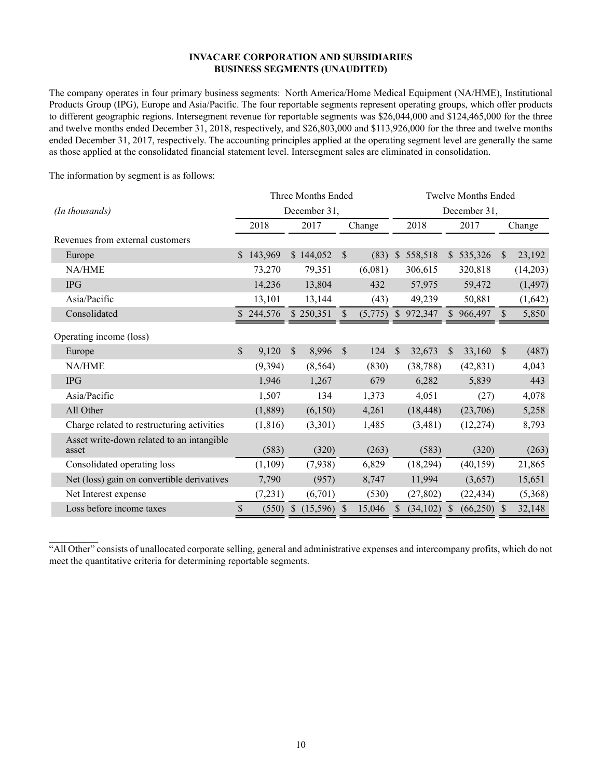#### **INVACARE CORPORATION AND SUBSIDIARIES BUSINESS SEGMENTS (UNAUDITED)**

The company operates in four primary business segments: North America/Home Medical Equipment (NA/HME), Institutional Products Group (IPG), Europe and Asia/Pacific. The four reportable segments represent operating groups, which offer products to different geographic regions. Intersegment revenue for reportable segments was \$26,044,000 and \$124,465,000 for the three and twelve months ended December 31, 2018, respectively, and \$26,803,000 and \$113,926,000 for the three and twelve months ended December 31, 2017, respectively. The accounting principles applied at the operating segment level are generally the same as those applied at the consolidated financial statement level. Intersegment sales are eliminated in consolidation.

The information by segment is as follows:

 $\frac{1}{2}$ 

|                                                    |               |           |               | <b>Three Months Ended</b> |               |         | <b>Twelve Months Ended</b> |           |               |              |               |          |  |
|----------------------------------------------------|---------------|-----------|---------------|---------------------------|---------------|---------|----------------------------|-----------|---------------|--------------|---------------|----------|--|
| (In thousands)                                     |               |           |               | December 31,              |               |         |                            |           |               | December 31, |               |          |  |
|                                                    |               | 2018      |               | 2017                      |               | Change  |                            | 2018      |               | 2017         |               | Change   |  |
| Revenues from external customers                   |               |           |               |                           |               |         |                            |           |               |              |               |          |  |
| Europe                                             |               | \$143,969 |               | \$144,052                 | $\mathcal{S}$ | (83)    | S                          | 558,518   |               | \$535,326    | $\mathbb{S}$  | 23,192   |  |
| NA/HME                                             |               | 73,270    |               | 79,351                    |               | (6,081) |                            | 306,615   |               | 320,818      |               | (14,203) |  |
| $IPG$                                              |               | 14,236    |               | 13,804                    |               | 432     |                            | 57,975    |               | 59,472       |               | (1, 497) |  |
| Asia/Pacific                                       |               | 13,101    |               | 13,144                    |               | (43)    |                            | 49,239    |               | 50,881       |               | (1,642)  |  |
| Consolidated                                       |               | \$244,576 |               | \$250,351                 | <sup>S</sup>  | (5,775) |                            | \$972,347 |               | \$966,497    | <sup>S</sup>  | 5,850    |  |
| Operating income (loss)                            |               |           |               |                           |               |         |                            |           |               |              |               |          |  |
| Europe                                             | $\mathsf{\$}$ | 9,120     | $\mathcal{S}$ | 8,996                     | $\mathcal{S}$ | 124     | $\mathbb{S}$               | 32,673    | $\mathbb{S}$  | 33,160       | $\mathcal{S}$ | (487)    |  |
| NA/HME                                             |               | (9, 394)  |               | (8, 564)                  |               | (830)   |                            | (38, 788) |               | (42, 831)    |               | 4,043    |  |
| IPG                                                |               | 1,946     |               | 1,267                     |               | 679     |                            | 6,282     |               | 5,839        |               | 443      |  |
| Asia/Pacific                                       |               | 1,507     |               | 134                       |               | 1,373   |                            | 4,051     |               | (27)         |               | 4,078    |  |
| All Other                                          |               | (1,889)   |               | (6,150)                   |               | 4,261   |                            | (18, 448) |               | (23,706)     |               | 5,258    |  |
| Charge related to restructuring activities         |               | (1, 816)  |               | (3,301)                   |               | 1,485   |                            | (3,481)   |               | (12, 274)    |               | 8,793    |  |
| Asset write-down related to an intangible<br>asset |               | (583)     |               | (320)                     |               | (263)   |                            | (583)     |               | (320)        |               | (263)    |  |
| Consolidated operating loss                        |               | (1,109)   |               | (7,938)                   |               | 6,829   |                            | (18,294)  |               | (40, 159)    |               | 21,865   |  |
| Net (loss) gain on convertible derivatives         |               | 7,790     |               | (957)                     |               | 8,747   |                            | 11,994    |               | (3,657)      |               | 15,651   |  |
| Net Interest expense                               |               | (7,231)   |               | (6,701)                   |               | (530)   |                            | (27, 802) |               | (22, 434)    |               | (5,368)  |  |
| Loss before income taxes                           | \$            | (550)     | $\sqrt{\ }$   | (15,596)                  | $\mathcal{S}$ | 15,046  | \$                         | (34, 102) | <sup>\$</sup> | (66, 250)    | $\mathcal{S}$ | 32,148   |  |

"All Other" consists of unallocated corporate selling, general and administrative expenses and intercompany profits, which do not meet the quantitative criteria for determining reportable segments.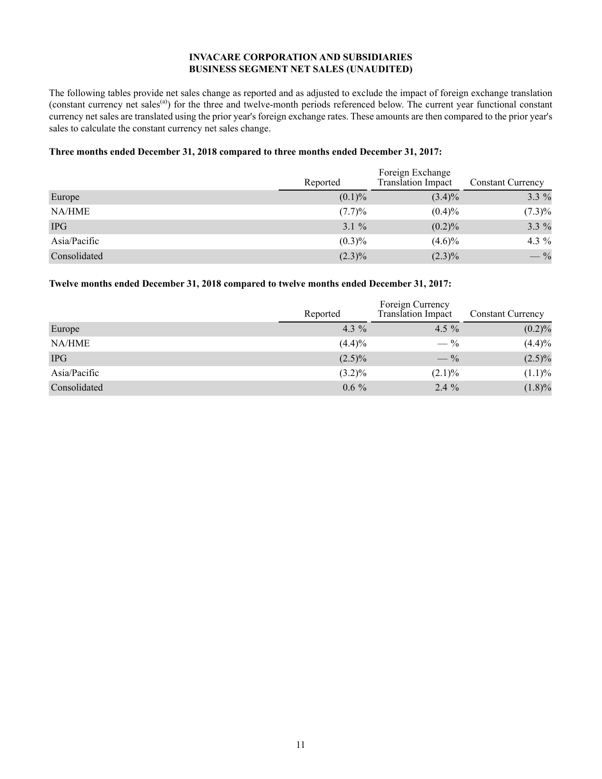#### **INVACARE CORPORATION AND SUBSIDIARIES BUSINESS SEGMENT NET SALES (UNAUDITED)**

The following tables provide net sales change as reported and as adjusted to exclude the impact of foreign exchange translation (constant currency net sales<sup>(a)</sup>) for the three and twelve-month periods referenced below. The current year functional constant currency net sales are translated using the prior year's foreign exchange rates. These amounts are then compared to the prior year's sales to calculate the constant currency net sales change.

#### **Three months ended December 31, 2018 compared to three months ended December 31, 2017:**

|              | Reported  | Foreign Exchange<br><b>Translation Impact</b> | <b>Constant Currency</b> |
|--------------|-----------|-----------------------------------------------|--------------------------|
| Europe       | $(0.1)\%$ | $(3.4)\%$                                     | $3.3\%$                  |
| NA/HME       | (7.7)%    | $(0.4)\%$                                     | $(7.3)\%$                |
| IPG          | $3.1 \%$  | $(0.2)\%$                                     | $3.3\%$                  |
| Asia/Pacific | $(0.3)\%$ | $(4.6)\%$                                     | 4.3 %                    |
| Consolidated | $(2.3)\%$ | $(2.3)\%$                                     | $-$ %                    |

#### **Twelve months ended December 31, 2018 compared to twelve months ended December 31, 2017:**

|              | Reported  | Foreign Currency<br><b>Translation Impact</b> | <b>Constant Currency</b> |
|--------------|-----------|-----------------------------------------------|--------------------------|
| Europe       | 4.3 $\%$  | 4.5 $\%$                                      | $(0.2)\%$                |
| NA/HME       | (4.4)%    | $-$ %                                         | (4.4)%                   |
| <b>IPG</b>   | $(2.5)\%$ | $- \frac{9}{6}$                               | $(2.5)\%$                |
| Asia/Pacific | $(3.2)\%$ | $(2.1)\%$                                     | $(1.1)\%$                |
| Consolidated | $0.6\%$   | $2.4\%$                                       | $(1.8)\%$                |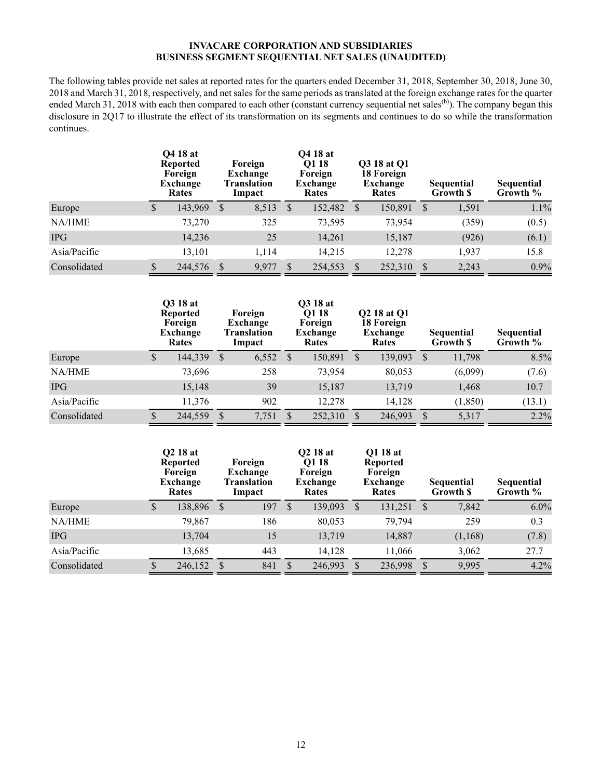#### **INVACARE CORPORATION AND SUBSIDIARIES BUSINESS SEGMENT SEQUENTIAL NET SALES (UNAUDITED)**

The following tables provide net sales at reported rates for the quarters ended December 31, 2018, September 30, 2018, June 30, 2018 and March 31, 2018, respectively, and net sales for the same periods as translated at the foreign exchange rates for the quarter ended March 31, 2018 with each then compared to each other (constant currency sequential net sales<sup>(b)</sup>). The company began this disclosure in 2Q17 to illustrate the effect of its transformation on its segments and continues to do so while the transformation continues.

|              |   | Q4 18 at<br><b>Reported</b><br>Foreign<br>Exchange<br>Rates |               | Foreign<br>Exchange<br>Translation<br>Impact | Q4 18 at<br>Q1 18<br>Foreign<br>Exchange<br>Rates |         |              | Q3 18 at Q1<br>18 Foreign<br>Exchange<br>Rates |               | Sequential<br>Growth \$ | Sequential<br>Growth % |
|--------------|---|-------------------------------------------------------------|---------------|----------------------------------------------|---------------------------------------------------|---------|--------------|------------------------------------------------|---------------|-------------------------|------------------------|
| Europe       | S | 143,969                                                     | <sup>S</sup>  | 8,513                                        | <sup>S</sup>                                      | 152,482 | -S           | 150,891                                        | <sup>S</sup>  | 1,591                   | 1.1%                   |
| NA/HME       |   | 73,270                                                      |               | 325                                          |                                                   | 73,595  |              | 73,954                                         |               | (359)                   | (0.5)                  |
| <b>IPG</b>   |   | 14,236                                                      |               | 25                                           |                                                   | 14,261  |              | 15,187                                         |               | (926)                   | (6.1)                  |
| Asia/Pacific |   | 13,101                                                      |               | 1.114                                        |                                                   | 14,215  |              | 12,278                                         |               | 1,937                   | 15.8                   |
| Consolidated | ¢ | 244,576                                                     | <sup>\$</sup> | 9,977                                        | S                                                 | 254,553 | <sup>S</sup> | 252,310                                        | <sup>\$</sup> | 2,243                   | 0.9%                   |

|              | Q3 18 at<br><b>Reported</b><br>Foreign<br>Exchange<br>Rates |    | Foreign<br>Exchange<br>Translation<br>Impact |               | Q3 18 at<br>Q1 18<br>Foreign<br>Exchange<br>Rates |              | Q2 18 at Q1<br>18 Foreign<br>Exchange<br>Rates |              | Sequential<br>Growth \$ | Sequential<br>Growth % |
|--------------|-------------------------------------------------------------|----|----------------------------------------------|---------------|---------------------------------------------------|--------------|------------------------------------------------|--------------|-------------------------|------------------------|
| Europe       | 144,339                                                     | -S | 6,552                                        | - \$          | 150,891                                           | <sup>S</sup> | 139,093                                        | <sup>S</sup> | 11,798                  | 8.5%                   |
| NA/HME       | 73,696                                                      |    | 258                                          |               | 73.954                                            |              | 80,053                                         |              | (6,099)                 | (7.6)                  |
| <b>IPG</b>   | 15,148                                                      |    | 39                                           |               | 15,187                                            |              | 13,719                                         |              | 1,468                   | 10.7                   |
| Asia/Pacific | 11,376                                                      |    | 902                                          |               | 12,278                                            |              | 14,128                                         |              | (1, 850)                | (13.1)                 |
| Consolidated | 244,559                                                     |    | 7,751                                        | <sup>\$</sup> | 252,310                                           | \$.          | 246,993                                        | <sup>S</sup> | 5,317                   | 2.2%                   |

| Rates        |   | Q2 18 at<br><b>Reported</b><br>Foreign<br>Exchange | Foreign<br>Exchange<br>Translation<br>Impact |     | Q2 18 at<br>Q1 18<br>Foreign<br>Exchange<br>Rates |         | Q1 18 at<br><b>Reported</b><br>Foreign<br>Exchange<br>Rates |         |               | Sequential<br>Growth \$ | Sequential<br>Growth % |  |  |
|--------------|---|----------------------------------------------------|----------------------------------------------|-----|---------------------------------------------------|---------|-------------------------------------------------------------|---------|---------------|-------------------------|------------------------|--|--|
| Europe       | S | 138,896                                            | -S                                           | 197 | -S                                                | 139,093 | $\mathbf{\hat{S}}$                                          | 131,251 | -S            | 7,842                   | 6.0%                   |  |  |
| NA/HME       |   | 79,867                                             |                                              | 186 |                                                   | 80,053  |                                                             | 79,794  |               | 259                     | 0.3                    |  |  |
| <b>IPG</b>   |   | 13,704                                             |                                              | 15  |                                                   | 13,719  |                                                             | 14,887  |               | (1,168)                 | (7.8)                  |  |  |
| Asia/Pacific |   | 13,685                                             |                                              | 443 |                                                   | 14,128  |                                                             | 11,066  |               | 3,062                   | 27.7                   |  |  |
| Consolidated |   | 246,152                                            |                                              | 841 | <sup>\$</sup>                                     | 246,993 | <b>S</b>                                                    | 236,998 | <sup>\$</sup> | 9,995                   | 4.2%                   |  |  |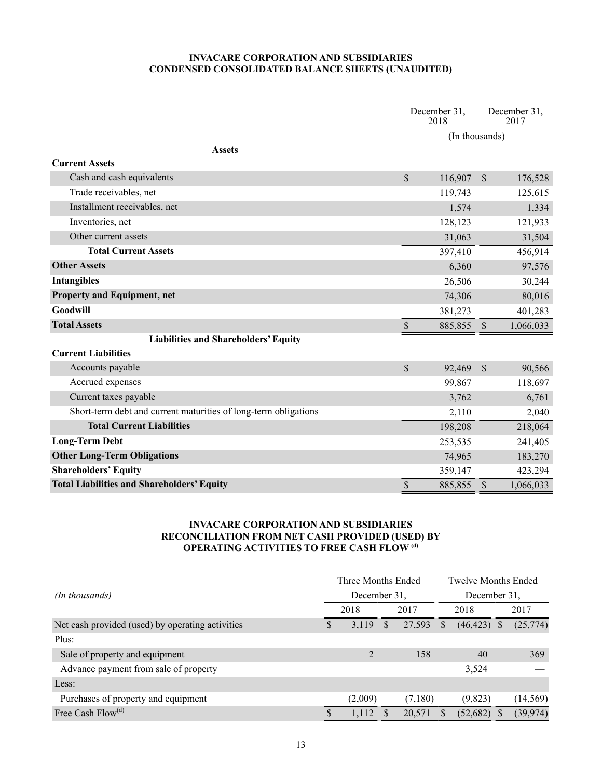#### **INVACARE CORPORATION AND SUBSIDIARIES CONDENSED CONSOLIDATED BALANCE SHEETS (UNAUDITED)**

|                                                                 | December 31,<br>2018 |                | December 31,<br>2017 |           |  |
|-----------------------------------------------------------------|----------------------|----------------|----------------------|-----------|--|
|                                                                 |                      | (In thousands) |                      |           |  |
| <b>Assets</b>                                                   |                      |                |                      |           |  |
| <b>Current Assets</b>                                           |                      |                |                      |           |  |
| Cash and cash equivalents                                       | $\mathcal{S}$        | 116,907        | $\mathbb{S}$         | 176,528   |  |
| Trade receivables, net                                          |                      | 119,743        |                      | 125,615   |  |
| Installment receivables, net                                    |                      | 1,574          |                      | 1,334     |  |
| Inventories, net                                                |                      | 128,123        |                      | 121,933   |  |
| Other current assets                                            |                      | 31,063         |                      | 31,504    |  |
| <b>Total Current Assets</b>                                     |                      | 397,410        |                      | 456,914   |  |
| <b>Other Assets</b>                                             |                      | 6,360          |                      | 97,576    |  |
| <b>Intangibles</b>                                              |                      | 26,506         |                      | 30,244    |  |
| <b>Property and Equipment, net</b>                              |                      | 74,306         |                      | 80,016    |  |
| Goodwill                                                        |                      | 381,273        |                      | 401,283   |  |
| <b>Total Assets</b>                                             | \$                   | 885,855        | $\mathcal{S}$        | 1,066,033 |  |
| <b>Liabilities and Shareholders' Equity</b>                     |                      |                |                      |           |  |
| <b>Current Liabilities</b>                                      |                      |                |                      |           |  |
| Accounts payable                                                | $\mathcal{S}$        | 92,469         | $\mathbb{S}$         | 90,566    |  |
| Accrued expenses                                                |                      | 99,867         |                      | 118,697   |  |
| Current taxes payable                                           |                      | 3,762          |                      | 6,761     |  |
| Short-term debt and current maturities of long-term obligations |                      | 2,110          |                      | 2,040     |  |
| <b>Total Current Liabilities</b>                                |                      | 198,208        |                      | 218,064   |  |
| <b>Long-Term Debt</b>                                           |                      | 253,535        |                      | 241,405   |  |
| <b>Other Long-Term Obligations</b>                              |                      | 74,965         |                      | 183,270   |  |
| <b>Shareholders' Equity</b>                                     |                      | 359,147        |                      | 423,294   |  |
| <b>Total Liabilities and Shareholders' Equity</b>               | \$                   | 885,855        | $\mathcal{S}$        | 1,066,033 |  |

#### **INVACARE CORPORATION AND SUBSIDIARIES RECONCILIATION FROM NET CASH PROVIDED (USED) BY OPERATING ACTIVITIES TO FREE CASH FLOW (d)**

|                                                  |      | Three Months Ended |              |              | <b>Twelve Months Ended</b> |           |      |           |  |
|--------------------------------------------------|------|--------------------|--------------|--------------|----------------------------|-----------|------|-----------|--|
| (In thousands)                                   |      | December 31.       |              | December 31. |                            |           |      |           |  |
|                                                  | 2018 |                    |              | 2017         | 2018                       |           | 2017 |           |  |
| Net cash provided (used) by operating activities | D    | 3,119              | <sup>S</sup> | 27,593       | S                          | (46, 423) | S    | (25,774)  |  |
| Plus:                                            |      |                    |              |              |                            |           |      |           |  |
| Sale of property and equipment                   |      |                    |              | 158          |                            | 40        |      | 369       |  |
| Advance payment from sale of property            |      |                    |              |              |                            | 3,524     |      |           |  |
| Less:                                            |      |                    |              |              |                            |           |      |           |  |
| Purchases of property and equipment              |      | (2,009)            |              | (7,180)      |                            | (9,823)   |      | (14, 569) |  |
| Free Cash Flow <sup>(d)</sup>                    |      | 1,112              |              | 20,571       |                            | (52, 682) |      | (39, 974) |  |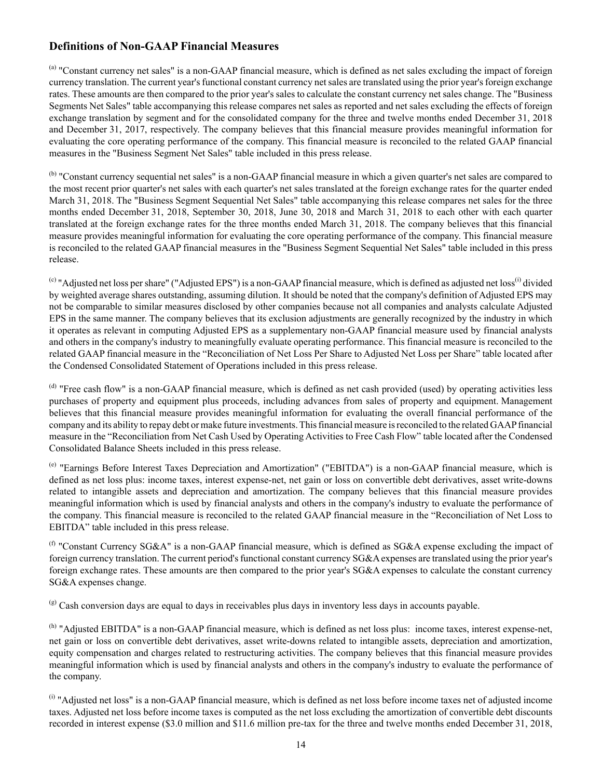## **Definitions of Non-GAAP Financial Measures**

<sup>(a)</sup> "Constant currency net sales" is a non-GAAP financial measure, which is defined as net sales excluding the impact of foreign currency translation. The current year's functional constant currency net sales are translated using the prior year's foreign exchange rates. These amounts are then compared to the prior year's sales to calculate the constant currency net sales change. The "Business Segments Net Sales" table accompanying this release compares net sales as reported and net sales excluding the effects of foreign exchange translation by segment and for the consolidated company for the three and twelve months ended December 31, 2018 and December 31, 2017, respectively. The company believes that this financial measure provides meaningful information for evaluating the core operating performance of the company. This financial measure is reconciled to the related GAAP financial measures in the "Business Segment Net Sales" table included in this press release.

(b) "Constant currency sequential net sales" is a non-GAAP financial measure in which a given quarter's net sales are compared to the most recent prior quarter's net sales with each quarter's net sales translated at the foreign exchange rates for the quarter ended March 31, 2018. The "Business Segment Sequential Net Sales" table accompanying this release compares net sales for the three months ended December 31, 2018, September 30, 2018, June 30, 2018 and March 31, 2018 to each other with each quarter translated at the foreign exchange rates for the three months ended March 31, 2018. The company believes that this financial measure provides meaningful information for evaluating the core operating performance of the company. This financial measure is reconciled to the related GAAPfinancial measures in the "Business Segment Sequential Net Sales" table included in this press release.

 $^{(c)}$  "Adjusted net loss per share" ("Adjusted EPS") is a non-GAAP financial measure, which is defined as adjusted net loss<sup>(i)</sup> divided by weighted average shares outstanding, assuming dilution. It should be noted that the company's definition of Adjusted EPS may not be comparable to similar measures disclosed by other companies because not all companies and analysts calculate Adjusted EPS in the same manner. The company believes that its exclusion adjustments are generally recognized by the industry in which it operates as relevant in computing Adjusted EPS as a supplementary non-GAAP financial measure used by financial analysts and others in the company's industry to meaningfully evaluate operating performance. This financial measure is reconciled to the related GAAPfinancial measure in the "Reconciliation of Net Loss Per Share to Adjusted Net Loss per Share" table located after the Condensed Consolidated Statement of Operations included in this press release.

(d) "Free cash flow" is a non-GAAP financial measure, which is defined as net cash provided (used) by operating activities less purchases of property and equipment plus proceeds, including advances from sales of property and equipment. Management believes that this financial measure provides meaningful information for evaluating the overall financial performance of the company and its ability to repay debt or make future investments. This financial measure is reconciled to the related GAAPfinancial measure in the "Reconciliation from Net Cash Used by Operating Activities to Free Cash Flow" table located after the Condensed Consolidated Balance Sheets included in this press release.

(e) "Earnings Before Interest Taxes Depreciation and Amortization" ("EBITDA") is a non-GAAP financial measure, which is defined as net loss plus: income taxes, interest expense-net, net gain or loss on convertible debt derivatives, asset write-downs related to intangible assets and depreciation and amortization. The company believes that this financial measure provides meaningful information which is used by financial analysts and others in the company's industry to evaluate the performance of the company. This financial measure is reconciled to the related GAAP financial measure in the "Reconciliation of Net Loss to EBITDA" table included in this press release.

 $<sup>(f)</sup>$  "Constant Currency SG&A" is a non-GAAP financial measure, which is defined as SG&A expense excluding the impact of</sup> foreign currency translation. The current period's functional constant currency SG&A expenses are translated using the prior year's foreign exchange rates. These amounts are then compared to the prior year's SG&A expenses to calculate the constant currency SG&A expenses change.

 $^{(g)}$  Cash conversion days are equal to days in receivables plus days in inventory less days in accounts payable.

 $<sup>(h)</sup>$  "Adjusted EBITDA" is a non-GAAP financial measure, which is defined as net loss plus: income taxes, interest expense-net,</sup> net gain or loss on convertible debt derivatives, asset write-downs related to intangible assets, depreciation and amortization, equity compensation and charges related to restructuring activities. The company believes that this financial measure provides meaningful information which is used by financial analysts and others in the company's industry to evaluate the performance of the company.

(i) "Adjusted net loss" is a non-GAAPfinancial measure, which is defined as net loss before income taxes net of adjusted income taxes. Adjusted net loss before income taxes is computed as the net loss excluding the amortization of convertible debt discounts recorded in interest expense (\$3.0 million and \$11.6 million pre-tax for the three and twelve months ended December 31, 2018,